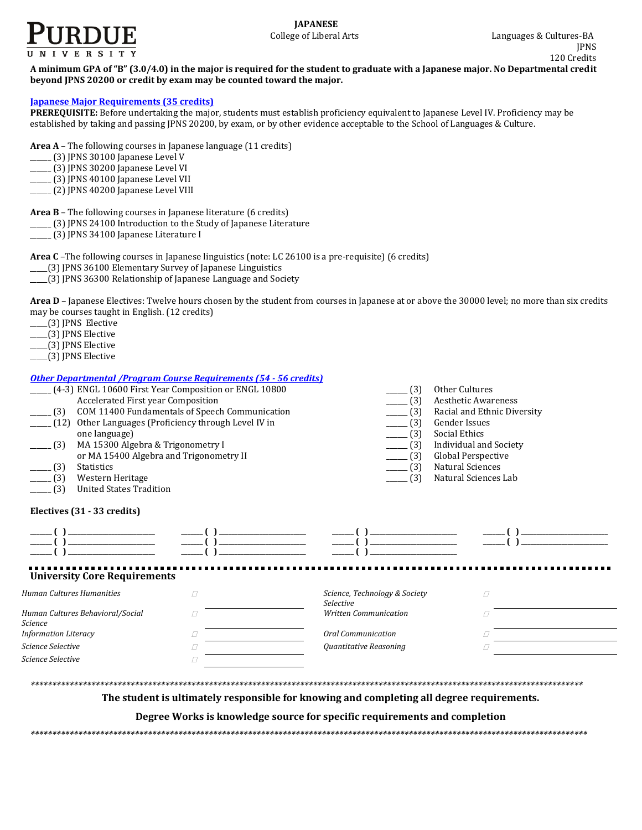

**A minimum GPA of "B" (3.0/4.0) in the major is required for the student to graduate with a Japanese major. No Departmental credit beyond JPNS 20200 or credit by exam may be counted toward the major.**

## **[Japanese Major Requirements](http://www.cla.purdue.edu/academics/programs/pos/JPNSMAJOR.pdf) (35 credits)**

**PREREQUISITE:** Before undertaking the major, students must establish proficiency equivalent to Japanese Level IV. Proficiency may be established by taking and passing JPNS 20200, by exam, or by other evidence acceptable to the School of Languages & Culture.

**Area A** – The following courses in Japanese language (11 credits)

- $(3)$  JPNS 30100 Japanese Level V
- \_\_\_\_\_\_ (3) JPNS 30200 Japanese Level VI
- \_\_\_\_\_\_ (3) JPNS 40100 Japanese Level VII
- \_\_\_\_\_\_ (2) JPNS 40200 Japanese Level VIII

**Area B** – The following courses in Japanese literature (6 credits)

- \_\_\_\_\_\_ (3) JPNS 24100 Introduction to the Study of Japanese Literature
- \_\_\_\_\_\_ (3) JPNS 34100 Japanese Literature I

**Area C** –The following courses in Japanese linguistics (note: LC 26100 is a pre-requisite) (6 credits)

- \_\_\_\_\_(3) JPNS 36100 Elementary Survey of Japanese Linguistics
- \_\_\_\_\_(3) JPNS 36300 Relationship of Japanese Language and Society

Area D – Japanese Electives: Twelve hours chosen by the student from courses in Japanese at or above the 30000 level; no more than six credits may be courses taught in English. (12 credits)

- \_\_\_\_\_(3) JPNS Elective
- \_\_\_\_\_(3) JPNS Elective
- \_\_\_\_\_(3) JPNS Elective
- \_\_\_\_\_(3) JPNS Elective

## *[Other Departmental /Program Course Requirements \(54](http://www.cla.purdue.edu/academics/programs/pos/core201210v3.pdf) - 56 credits)*

| Accelerated First year Composition<br>(3)<br>(12)<br>one language)<br>(3)<br>MA 15300 Algebra & Trigonometry I<br>or MA 15400 Algebra and Trigonometry II<br><b>Statistics</b><br>$-$ (3)<br>(3)<br>Western Heritage<br><b>United States Tradition</b><br>(3) | отог реригинении /11 одгингеоите недин спенен јот - до сгейној<br>(4-3) ENGL 10600 First Year Composition or ENGL 10800<br>COM 11400 Fundamentals of Speech Communication<br>Other Languages (Proficiency through Level IV in | (3)<br>Other Cultures<br>(3)<br><b>Aesthetic Awareness</b><br>Racial and Ethnic Diversity<br>(3)<br>(3)<br><b>Gender Issues</b><br>Social Ethics<br>$\frac{1}{2}$ (3)<br>(3)<br><b>Individual and Society</b><br>Global Perspective<br>(3)<br>(3)<br>Natural Sciences<br>(3)<br>Natural Sciences Lab |   |  |
|---------------------------------------------------------------------------------------------------------------------------------------------------------------------------------------------------------------------------------------------------------------|-------------------------------------------------------------------------------------------------------------------------------------------------------------------------------------------------------------------------------|------------------------------------------------------------------------------------------------------------------------------------------------------------------------------------------------------------------------------------------------------------------------------------------------------|---|--|
| Electives (31 - 33 credits)                                                                                                                                                                                                                                   |                                                                                                                                                                                                                               |                                                                                                                                                                                                                                                                                                      |   |  |
|                                                                                                                                                                                                                                                               |                                                                                                                                                                                                                               |                                                                                                                                                                                                                                                                                                      |   |  |
| <b>University Core Requirements</b><br><b>Human Cultures Humanities</b>                                                                                                                                                                                       | П                                                                                                                                                                                                                             | Science, Technology & Society                                                                                                                                                                                                                                                                        | П |  |
|                                                                                                                                                                                                                                                               |                                                                                                                                                                                                                               | <b>Selective</b>                                                                                                                                                                                                                                                                                     |   |  |
| Human Cultures Behavioral/Social<br>Science                                                                                                                                                                                                                   |                                                                                                                                                                                                                               | <b>Written Communication</b>                                                                                                                                                                                                                                                                         |   |  |
| <b>Information Literacy</b>                                                                                                                                                                                                                                   | П                                                                                                                                                                                                                             | <b>Oral Communication</b>                                                                                                                                                                                                                                                                            |   |  |
| Science Selective                                                                                                                                                                                                                                             | П                                                                                                                                                                                                                             | Quantitative Reasoning                                                                                                                                                                                                                                                                               |   |  |
| Science Selective                                                                                                                                                                                                                                             |                                                                                                                                                                                                                               |                                                                                                                                                                                                                                                                                                      |   |  |
|                                                                                                                                                                                                                                                               |                                                                                                                                                                                                                               |                                                                                                                                                                                                                                                                                                      |   |  |
|                                                                                                                                                                                                                                                               | The student is ultimately responsible for knowing and completing all degree requirements.                                                                                                                                     |                                                                                                                                                                                                                                                                                                      |   |  |
|                                                                                                                                                                                                                                                               | Degree Works is knowledge source for specific requirements and completion                                                                                                                                                     |                                                                                                                                                                                                                                                                                                      |   |  |

*\*\*\*\*\*\*\*\*\*\*\*\*\*\*\*\*\*\*\*\*\*\*\*\*\*\*\*\*\*\*\*\*\*\*\*\*\*\*\*\*\*\*\*\*\*\*\*\*\*\*\*\*\*\*\*\*\*\*\*\*\*\*\*\*\*\*\*\*\*\*\*\*\*\*\*\*\*\*\*\*\*\*\*\*\*\*\*\*\*\*\*\*\*\*\*\*\*\*\*\*\*\*\*\*\*\*\*\*\*\*\*\*\*\*\*\*\*\*\*\*\*\*\*\*\*\*\*\**